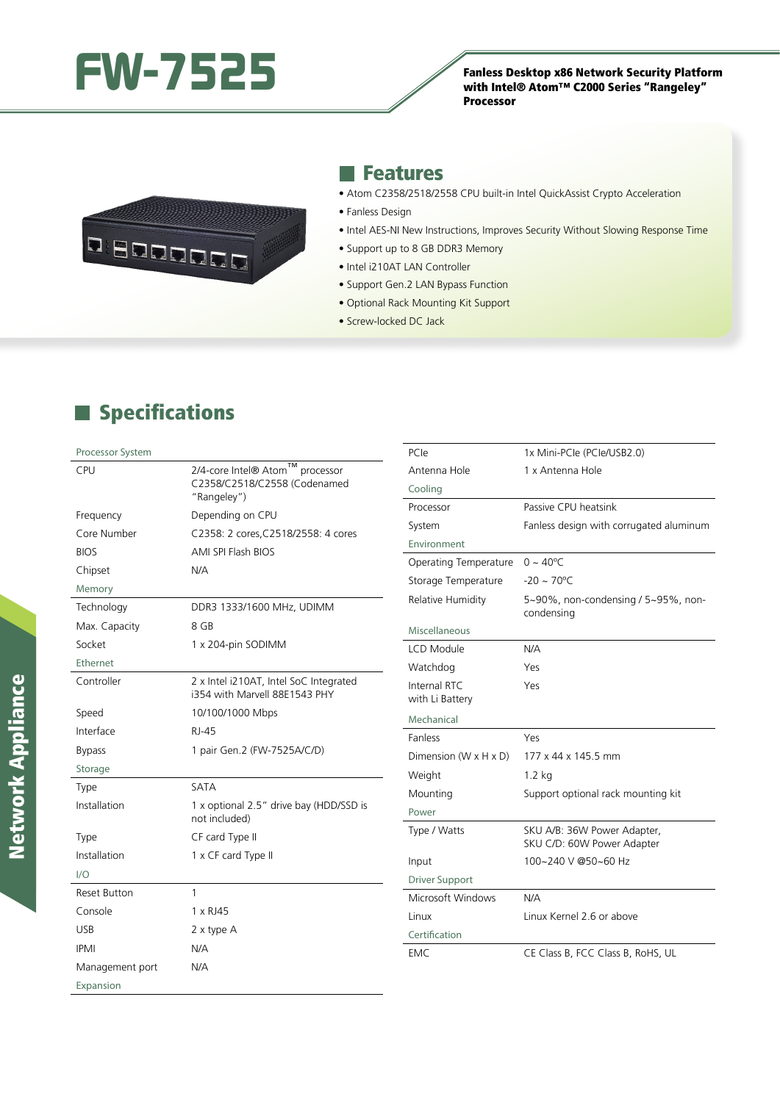

with Intel® Atom™ C2000 Series "Rangeley" Processor



#### **Features**

- Atom C2358/2518/2558 CPU built-in Intel QuickAssist Crypto Acceleration
- Fanless Design
- Intel AES-NI New Instructions, Improves Security Without Slowing Response Time
- Support up to 8 GB DDR3 Memory
- Intel i210AT LAN Controller
- Support Gen.2 LAN Bypass Function
- Optional Rack Mounting Kit Support
- Screw-locked DC Jack

## **Specifications**

| Processor System     |                                                          | PCIe                            | 1x Mini-PCle (PCle/USB2.0)                                |
|----------------------|----------------------------------------------------------|---------------------------------|-----------------------------------------------------------|
| CPU                  | <b>TM</b><br>2/4-core Intel® Atom<br>processor           | Antenna Hole                    | 1 x Antenna Hole                                          |
|                      | C2358/C2518/C2558 (Codenamed<br>"Rangeley")              | Cooling                         |                                                           |
| Frequency            | Depending on CPU                                         | Processor                       | Passive CPU heatsink                                      |
| Core Number          | C2358: 2 cores, C2518/2558: 4 cores                      | System                          | Fanless design with corrugated aluminum                   |
| <b>BIOS</b>          | AMI SPI Flash BIOS                                       | Environment                     |                                                           |
|                      | N/A                                                      | Operating Temperature           | $0 \sim 40^{\circ}$ C                                     |
| Chipset              |                                                          | Storage Temperature             | $-20 \sim 70^{\circ}$ C                                   |
| Memory<br>Technology | DDR3 1333/1600 MHz, UDIMM                                | Relative Humidity               | 5~90%, non-condensing / 5~95%, non-                       |
| Max. Capacity        | 8 GB                                                     |                                 | condensing                                                |
| Socket               | 1 x 204-pin SODIMM                                       | Miscellaneous                   |                                                           |
| Ethernet             |                                                          | LCD Module                      | N/A                                                       |
| Controller           | 2 x Intel i210AT, Intel SoC Integrated                   | Watchdog                        | Yes                                                       |
|                      | i354 with Marvell 88E1543 PHY                            | Internal RTC<br>with Li Battery | Yes                                                       |
| Speed                | 10/100/1000 Mbps                                         | Mechanical                      |                                                           |
| Interface            | <b>RJ-45</b>                                             | Fanless                         | Yes                                                       |
| <b>Bypass</b>        | 1 pair Gen.2 (FW-7525A/C/D)                              | Dimension (W x H x D)           | 177 x 44 x 145.5 mm                                       |
| Storage              |                                                          | Weight                          | $1.2$ kg                                                  |
| Type                 | SATA                                                     | Mounting                        | Support optional rack mounting kit                        |
| Installation         | 1 x optional 2.5" drive bay (HDD/SSD is<br>not included) | Power                           |                                                           |
| Type                 | CF card Type II                                          | Type / Watts                    | SKU A/B: 36W Power Adapter,<br>SKU C/D: 60W Power Adapter |
| Installation         | 1 x CF card Type II                                      | Input                           | 100~240 V @50~60 Hz                                       |
| 1/O                  |                                                          | <b>Driver Support</b>           |                                                           |
| <b>Reset Button</b>  | $\mathbf{1}$                                             | Microsoft Windows               | N/A                                                       |
| Console              | 1 x RJ45                                                 | Linux                           | Linux Kernel 2.6 or above                                 |
| <b>USB</b>           | 2 x type A                                               | Certification                   |                                                           |
| <b>IPMI</b>          | N/A                                                      | <b>EMC</b>                      | CE Class B, FCC Class B, RoHS, UL                         |
| Management port      | N/A                                                      |                                 |                                                           |
| Expansion            |                                                          |                                 |                                                           |